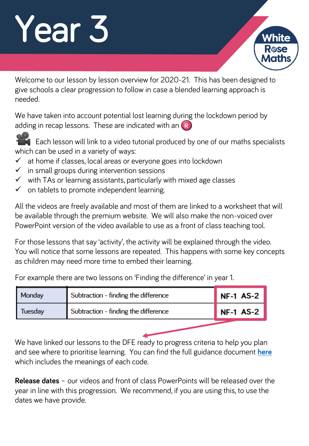# Year 3

Welcome to our lesson by lesson overview for 2020-21. This has been designed to give schools a clear progression to follow in case a blended learning approach is needed.

We have taken into account potential lost learning during the lockdown period by adding in recap lessons. These are indicated with an  $(R)$ 



Each lesson will link to a video tutorial produced by one of our maths specialists which can be used in a variety of ways:

- $\checkmark$  at home if classes, local areas or everyone goes into lockdown
- $\checkmark$  in small groups during intervention sessions
- $\checkmark$  with TAs or learning assistants, particularly with mixed age classes
- $\checkmark$  on tablets to promote independent learning.

All the videos are freely available and most of them are linked to a worksheet that will be available through the premium website. We will also make the non-voiced over PowerPoint version of the video available to use as a front of class teaching tool.

For those lessons that say 'activity', the activity will be explained through the video. You will notice that some lessons are repeated. This happens with some key concepts as children may need more time to embed their learning.

For example there are two lessons on 'Finding the difference' in year 1.

| Subtraction - finding the difference<br>Tuesday | Monday | Subtraction - finding the difference | <b>NF-1 AS-2</b> |
|-------------------------------------------------|--------|--------------------------------------|------------------|
|                                                 |        |                                      | <b>NF-1 AS-2</b> |

We have linked our lessons to the DFE ready to progress criteria to help you plan and see where to prioritise learning. You can find the full guidance document **[here](https://assets.publishing.service.gov.uk/government/uploads/system/uploads/attachment_data/file/897806/Maths_guidance_KS_1_and_2.pdf)** which includes the meanings of each code.

**Release dates** – our videos and front of class PowerPoints will be released over the year in line with this progression. We recommend, if you are using this, to use the dates we have provide.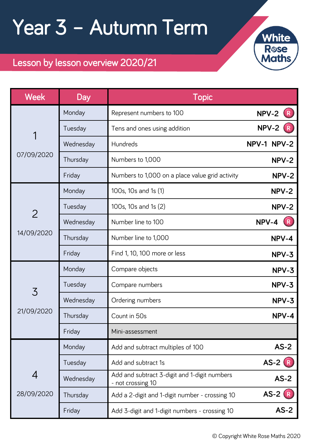### Year 3 – Autumn Term



### Lesson by lesson overview 2020/21

| <b>Week</b>     | Day       | <b>Topic</b>                                                      |               |
|-----------------|-----------|-------------------------------------------------------------------|---------------|
|                 | Monday    | Represent numbers to 100                                          | NPV-2         |
| 1               | Tuesday   | Tens and ones using addition                                      | NPV-2         |
|                 | Wednesday | Hundreds                                                          | NPV-1 NPV-2   |
| 07/09/2020      | Thursday  | Numbers to 1,000                                                  | NPV-2         |
|                 | Friday    | Numbers to 1,000 on a place value grid activity                   | NPV-2         |
|                 | Monday    | 100s, 10s and 1s (1)                                              | NPV-2         |
| $\overline{2}$  | Tuesday   | 100s, 10s and 1s (2)                                              | NPV-2         |
|                 | Wednesday | Number line to 100                                                | NPV-4         |
| 14/09/2020<br>3 | Thursday  | Number line to 1,000                                              | NPV-4         |
|                 | Friday    | Find 1, 10, 100 more or less                                      | NPV-3         |
|                 | Monday    | Compare objects                                                   | NPV-3         |
|                 | Tuesday   | Compare numbers                                                   | NPV-3         |
|                 | Wednesday | Ordering numbers                                                  | NPV-3         |
| 21/09/2020      | Thursday  | Count in 50s                                                      | NPV-4         |
|                 | Friday    | Mini-assessment                                                   |               |
| 4<br>28/09/2020 | Monday    | Add and subtract multiples of 100                                 | $AS-2$        |
|                 | Tuesday   | Add and subtract 1s                                               | <b>AS-2</b> R |
|                 | Wednesday | Add and subtract 3-digit and 1-digit numbers<br>- not crossing 10 | $AS-2$        |
|                 | Thursday  | Add a 2-digit and 1-digit number - crossing 10                    | <b>AS-2</b> R |
|                 | Friday    | Add 3-digit and 1-digit numbers - crossing 10                     | $AS-2$        |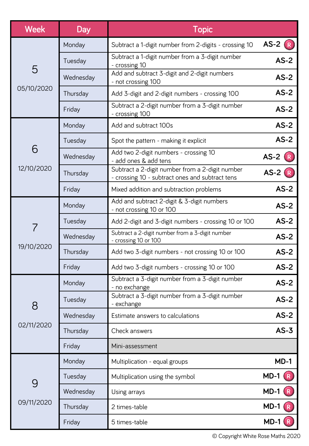| <b>Week</b>     | <b>Day</b> | <b>Topic</b>                                                                                       |               |
|-----------------|------------|----------------------------------------------------------------------------------------------------|---------------|
|                 | Monday     | Subtract a 1-digit number from 2-digits - crossing 10                                              | $AS-2(R)$     |
|                 | Tuesday    | Subtract a 1-digit number from a 3-digit number<br>- crossing 10                                   | $AS-2$        |
| 5               | Wednesday  | Add and subtract 3-digit and 2-digit numbers<br>- not crossing 100                                 | $AS-2$        |
| 05/10/2020      | Thursday   | Add 3-digit and 2-digit numbers - crossing 100                                                     | $AS-2$        |
|                 | Friday     | Subtract a 2-digit number from a 3-digit number<br>- crossing 100                                  | $AS-2$        |
|                 | Monday     | Add and subtract 100s                                                                              | $AS-2$        |
|                 | Tuesday    | Spot the pattern - making it explicit                                                              | $AS-2$        |
| 6               | Wednesday  | Add two 2-digit numbers - crossing 10<br>- add ones & add tens                                     | <b>AS-2</b> R |
| 12/10/2020      | Thursday   | Subtract a 2-digit number from a 2-digit number<br>- crossing 10 - subtract ones and subtract tens | <b>AS-2</b> R |
|                 | Friday     | Mixed addition and subtraction problems                                                            | $AS-2$        |
|                 | Monday     | Add and subtract 2-digit & 3-digit numbers<br>- not crossing 10 or 100                             | $AS-2$        |
|                 | Tuesday    | Add 2-digit and 3-digit numbers - crossing 10 or 100                                               | $AS-2$        |
| 19/10/2020      | Wednesday  | Subtract a 2-digit number from a 3-digit number<br>- crossing 10 or 100                            | $AS-2$        |
|                 | Thursday   | Add two 3-digit numbers - not crossing 10 or 100                                                   | $AS-2$        |
|                 | Friday     | Add two 3-digit numbers - crossing 10 or 100                                                       | $AS-2$        |
| 8<br>02/11/2020 | Monday     | Subtract a 3-digit number from a 3-digit number<br>- no exchange                                   | $AS-2$        |
|                 | Tuesday    | Subtract a 3-digit number from a 3-digit number<br>- exchange                                      | $AS-2$        |
|                 | Wednesday  | Estimate answers to calculations                                                                   | $AS-2$        |
|                 | Thursday   | Check answers                                                                                      | $AS-3$        |
|                 | Friday     | Mini-assessment                                                                                    |               |
| 9               | Monday     | Multiplication - equal groups                                                                      | $MD-1$        |
|                 | Tuesday    | Multiplication using the symbol                                                                    | $MD-1$<br>R   |
|                 | Wednesday  | Using arrays                                                                                       | $MD-1$ $(R)$  |
| 09/11/2020      | Thursday   | 2 times-table                                                                                      | $MD-1$        |
|                 | Friday     | 5 times-table                                                                                      | $MD-1$        |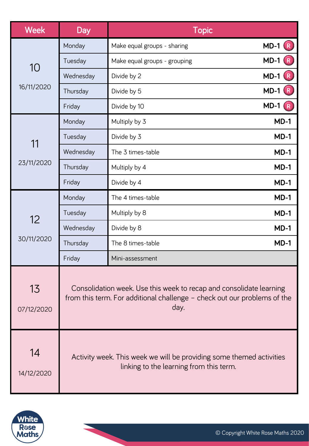| <b>Week</b>      | <b>Day</b>                                                                                                                                              | <b>Topic</b>                 |                          |
|------------------|---------------------------------------------------------------------------------------------------------------------------------------------------------|------------------------------|--------------------------|
|                  | Monday                                                                                                                                                  | Make equal groups - sharing  | <b>MD-1</b> R            |
|                  | Tuesday                                                                                                                                                 | Make equal groups - grouping | $MD-1$                   |
| 10               | Wednesday                                                                                                                                               | Divide by 2                  | R<br>$MD-1$              |
| 16/11/2020       | Thursday                                                                                                                                                | Divide by 5                  | $MD-1$ $(R)$             |
|                  | Friday                                                                                                                                                  | Divide by 10                 | $MD-1$<br>$\overline{R}$ |
|                  | Monday                                                                                                                                                  | Multiply by 3                | $MD-1$                   |
|                  | Tuesday                                                                                                                                                 | Divide by 3                  | $MD-1$                   |
| 11               | Wednesday                                                                                                                                               | The 3 times-table            | $MD-1$                   |
| 23/11/2020       | Thursday                                                                                                                                                | Multiply by 4                | $MD-1$                   |
|                  | Friday                                                                                                                                                  | Divide by 4                  | $MD-1$                   |
|                  | Monday                                                                                                                                                  | The 4 times-table            | $MD-1$                   |
|                  | Tuesday                                                                                                                                                 | Multiply by 8                | $MD-1$                   |
| 12               | Wednesday                                                                                                                                               | Divide by 8                  | $MD-1$                   |
| 30/11/2020       | Thursday                                                                                                                                                | The 8 times-table            | $MD-1$                   |
|                  | Friday                                                                                                                                                  | Mini-assessment              |                          |
| 13<br>07/12/2020 | Consolidation week. Use this week to recap and consolidate learning<br>from this term. For additional challenge - check out our problems of the<br>day. |                              |                          |
| 14<br>14/12/2020 | Activity week. This week we will be providing some themed activities<br>linking to the learning from this term.                                         |                              |                          |



 $\mathcal{L}^{\mathcal{A}}$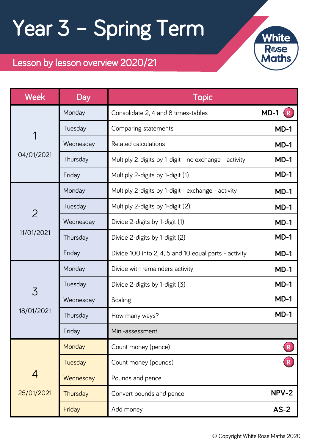# Year 3 – Spring Term



### Lesson by lesson overview 2020/21

| <b>Week</b>     | <b>Day</b> | <b>Topic</b>                                          |        |
|-----------------|------------|-------------------------------------------------------|--------|
|                 | Monday     | Consolidate 2, 4 and 8 times-tables                   | $MD-1$ |
| 1               | Tuesday    | Comparing statements                                  | $MD-1$ |
|                 | Wednesday  | Related calculations                                  | $MD-1$ |
| 04/01/2021      | Thursday   | Multiply 2-digits by 1-digit - no exchange - activity | $MD-1$ |
|                 | Friday     | Multiply 2-digits by 1-digit (1)                      | $MD-1$ |
|                 | Monday     | Multiply 2-digits by 1-digit - exchange - activity    | $MD-1$ |
| $\overline{2}$  | Tuesday    | Multiply 2-digits by 1-digit (2)                      | $MD-1$ |
|                 | Wednesday  | Divide 2-digits by 1-digit (1)                        | $MD-1$ |
| 11/01/2021<br>3 | Thursday   | Divide 2-digits by 1-digit (2)                        | $MD-1$ |
|                 | Friday     | Divide 100 into 2, 4, 5 and 10 equal parts - activity | $MD-1$ |
|                 | Monday     | Divide with remainders activity                       | $MD-1$ |
|                 | Tuesday    | Divide 2-digits by 1-digit (3)                        | $MD-1$ |
|                 | Wednesday  | Scaling                                               | $MD-1$ |
| 18/01/2021      | Thursday   | How many ways?                                        | $MD-1$ |
|                 | Friday     | Mini-assessment                                       |        |
| 4<br>25/01/2021 | Monday     | Count money (pence)                                   | R      |
|                 | Tuesday    | Count money (pounds)                                  | R      |
|                 | Wednesday  | Pounds and pence                                      |        |
|                 | Thursday   | Convert pounds and pence                              | NPV-2  |
|                 | Friday     | Add money                                             | $AS-2$ |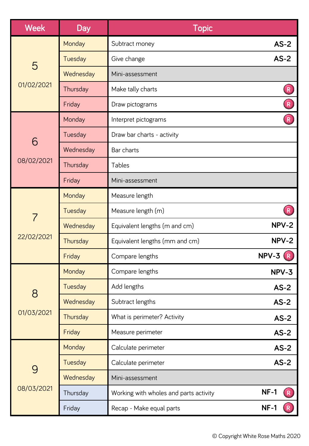| <b>Week</b>     | Day       | <b>Topic</b>                           |                         |
|-----------------|-----------|----------------------------------------|-------------------------|
|                 | Monday    | Subtract money                         | $AS-2$                  |
|                 | Tuesday   | Give change                            | $AS-2$                  |
| 5               | Wednesday | Mini-assessment                        |                         |
| 01/02/2021      | Thursday  | Make tally charts                      | $\overline{\mathsf{R}}$ |
|                 | Friday    | Draw pictograms                        | $\overline{R}$          |
|                 | Monday    | Interpret pictograms                   |                         |
| 6               | Tuesday   | Draw bar charts - activity             |                         |
|                 | Wednesday | Bar charts                             |                         |
| 08/02/2021      | Thursday  | Tables                                 |                         |
|                 | Friday    | Mini-assessment                        |                         |
|                 | Monday    | Measure length                         |                         |
| 7               | Tuesday   | Measure length (m)                     | $\overline{\mathsf{R}}$ |
| 22/02/2021      | Wednesday | Equivalent lengths (m and cm)          | NPV-2                   |
|                 | Thursday  | Equivalent lengths (mm and cm)         | NPV-2                   |
|                 | Friday    | Compare lengths                        | $NPV-3(R)$              |
| 8<br>01/03/2021 | Monday    | Compare lengths                        | NPV-3                   |
|                 | Tuesday   | Add lengths                            | $AS-2$                  |
|                 | Wednesday | Subtract lengths                       | $AS-2$                  |
|                 | Thursday  | What is perimeter? Activity            | $AS-2$                  |
|                 | Friday    | Measure perimeter                      | $AS-2$                  |
| 9<br>08/03/2021 | Monday    | Calculate perimeter                    | $AS-2$                  |
|                 | Tuesday   | Calculate perimeter                    | $AS-2$                  |
|                 | Wednesday | Mini-assessment                        |                         |
|                 | Thursday  | Working with wholes and parts activity | $NF-1$<br>$\mathsf{R}$  |
|                 | Friday    | Recap - Make equal parts               | $NF-1$                  |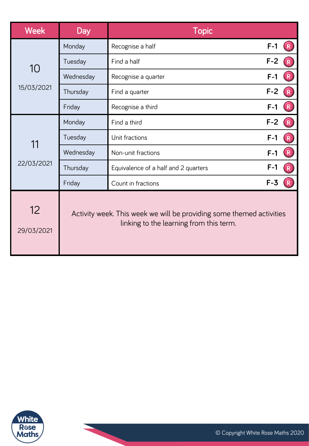| <b>Week</b>      | <b>Day</b>                                                                                                      | <b>Topic</b>                         |       |                         |
|------------------|-----------------------------------------------------------------------------------------------------------------|--------------------------------------|-------|-------------------------|
|                  | Monday                                                                                                          | Recognise a half                     | $F-1$ |                         |
|                  | Tuesday                                                                                                         | Find a half                          | $F-2$ | $\overline{\mathsf{R}}$ |
| 10               | Wednesday                                                                                                       | Recognise a quarter                  | $F-1$ | $\overline{\mathsf{R}}$ |
| 15/03/2021       | Thursday                                                                                                        | Find a quarter                       | $F-2$ |                         |
|                  | Friday                                                                                                          | Recognise a third                    | $F-1$ |                         |
| 11<br>22/03/2021 | Monday                                                                                                          | Find a third                         | $F-2$ |                         |
|                  | Tuesday                                                                                                         | Unit fractions                       | $F-1$ | ${\sf R}$               |
|                  | Wednesday                                                                                                       | Non-unit fractions                   | $F-1$ | $\pmb{\mathsf{R}}$      |
|                  | Thursday                                                                                                        | Equivalence of a half and 2 quarters | $F-1$ | $\mathsf{R}$            |
|                  | Friday                                                                                                          | Count in fractions                   | $F-3$ |                         |
| 12<br>29/03/2021 | Activity week. This week we will be providing some themed activities<br>linking to the learning from this term. |                                      |       |                         |



 $\mathbf{r}$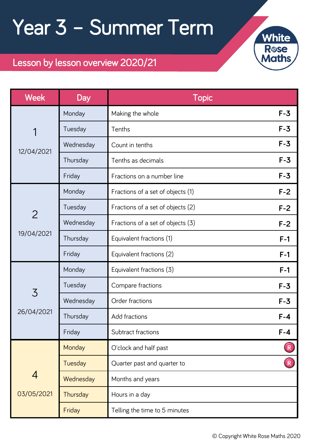## Year 3 – Summer Term



### Lesson by lesson overview 2020/21

| <b>Week</b>                   | Day       | <b>Topic</b>                      |         |
|-------------------------------|-----------|-----------------------------------|---------|
|                               | Monday    | Making the whole                  | $F-3$   |
| 1                             | Tuesday   | Tenths                            | $F-3$   |
| 12/04/2021                    | Wednesday | Count in tenths                   | $F-3$   |
|                               | Thursday  | Tenths as decimals                | $F - 3$ |
|                               | Friday    | Fractions on a number line        | $F-3$   |
|                               | Monday    | Fractions of a set of objects (1) | $F-2$   |
| $\overline{2}$                | Tuesday   | Fractions of a set of objects (2) | $F-2$   |
|                               | Wednesday | Fractions of a set of objects (3) | $F-2$   |
| 19/04/2021<br>3<br>26/04/2021 | Thursday  | Equivalent fractions (1)          | $F-1$   |
|                               | Friday    | Equivalent fractions (2)          | $F-1$   |
|                               | Monday    | Equivalent fractions (3)          | $F-1$   |
|                               | Tuesday   | Compare fractions                 | $F-3$   |
|                               | Wednesday | Order fractions                   | $F-3$   |
|                               | Thursday  | Add fractions                     | $F-4$   |
|                               | Friday    | Subtract fractions                | $F - 4$ |
| 4<br>03/05/2021               | Monday    | O'clock and half past             | R       |
|                               | Tuesday   | Quarter past and quarter to       |         |
|                               | Wednesday | Months and years                  |         |
|                               | Thursday  | Hours in a day                    |         |
|                               | Friday    | Telling the time to 5 minutes     |         |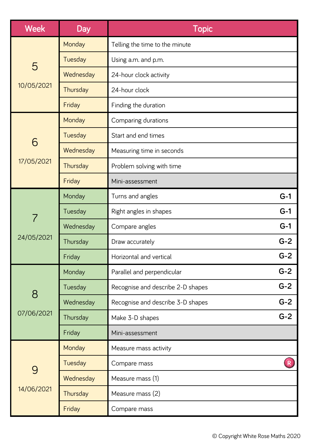| <b>Week</b>     | Day       | <b>Topic</b>                      |       |
|-----------------|-----------|-----------------------------------|-------|
|                 | Monday    | Telling the time to the minute    |       |
|                 | Tuesday   | Using a.m. and p.m.               |       |
| 5               | Wednesday | 24-hour clock activity            |       |
| 10/05/2021      | Thursday  | 24-hour clock                     |       |
|                 | Friday    | Finding the duration              |       |
|                 | Monday    | Comparing durations               |       |
| 6               | Tuesday   | Start and end times               |       |
|                 | Wednesday | Measuring time in seconds         |       |
| 17/05/2021      | Thursday  | Problem solving with time         |       |
|                 | Friday    | Mini-assessment                   |       |
|                 | Monday    | Turns and angles                  | $G-1$ |
| 7               | Tuesday   | Right angles in shapes            | $G-1$ |
|                 | Wednesday | Compare angles                    | $G-1$ |
| 24/05/2021      | Thursday  | Draw accurately                   | $G-2$ |
|                 | Friday    | Horizontal and vertical           | $G-2$ |
| 8<br>07/06/2021 | Monday    | Parallel and perpendicular        | $G-2$ |
|                 | Tuesday   | Recognise and describe 2-D shapes | $G-2$ |
|                 | Wednesday | Recognise and describe 3-D shapes | $G-2$ |
|                 | Thursday  | Make 3-D shapes                   | $G-2$ |
|                 | Friday    | Mini-assessment                   |       |
| 9               | Monday    | Measure mass activity             |       |
|                 | Tuesday   | Compare mass                      |       |
|                 | Wednesday | Measure mass (1)                  |       |
| 14/06/2021      | Thursday  | Measure mass (2)                  |       |
|                 | Friday    | Compare mass                      |       |